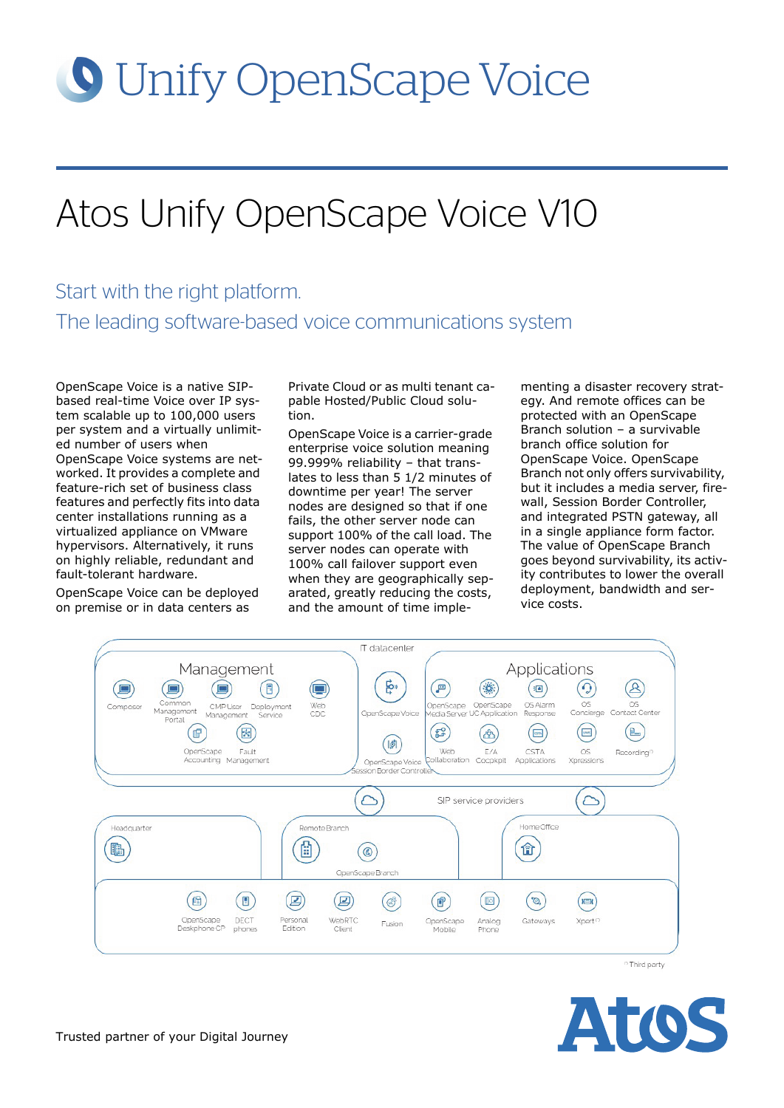# **O** Unify OpenScape Voice

## Atos Unify OpenScape Voice V10

## Start with the right platform. The leading software-based voice communications system

OpenScape Voice is a native SIPbased real-time Voice over IP system scalable up to 100,000 users per system and a virtually unlimited number of users when OpenScape Voice systems are networked. It provides a complete and feature-rich set of business class features and perfectly fits into data center installations running as a virtualized appliance on VMware hypervisors. Alternatively, it runs on highly reliable, redundant and fault-tolerant hardware.

OpenScape Voice can be deployed on premise or in data centers as

Private Cloud or as multi tenant capable Hosted/Public Cloud solution.

OpenScape Voice is a carrier-grade enterprise voice solution meaning 99.999% reliability – that translates to less than 5 1/2 minutes of downtime per year! The server nodes are designed so that if one fails, the other server node can support 100% of the call load. The server nodes can operate with 100% call failover support even when they are geographically separated, greatly reducing the costs, and the amount of time implementing a disaster recovery strategy. And remote offices can be protected with an OpenScape Branch solution – a survivable branch office solution for OpenScape Voice. OpenScape Branch not only offers survivability, but it includes a media server, firewall, Session Border Controller, and integrated PSTN gateway, all in a single appliance form factor. The value of OpenScape Branch goes beyond survivability, its activity contributes to lower the overall deployment, bandwidth and service costs.



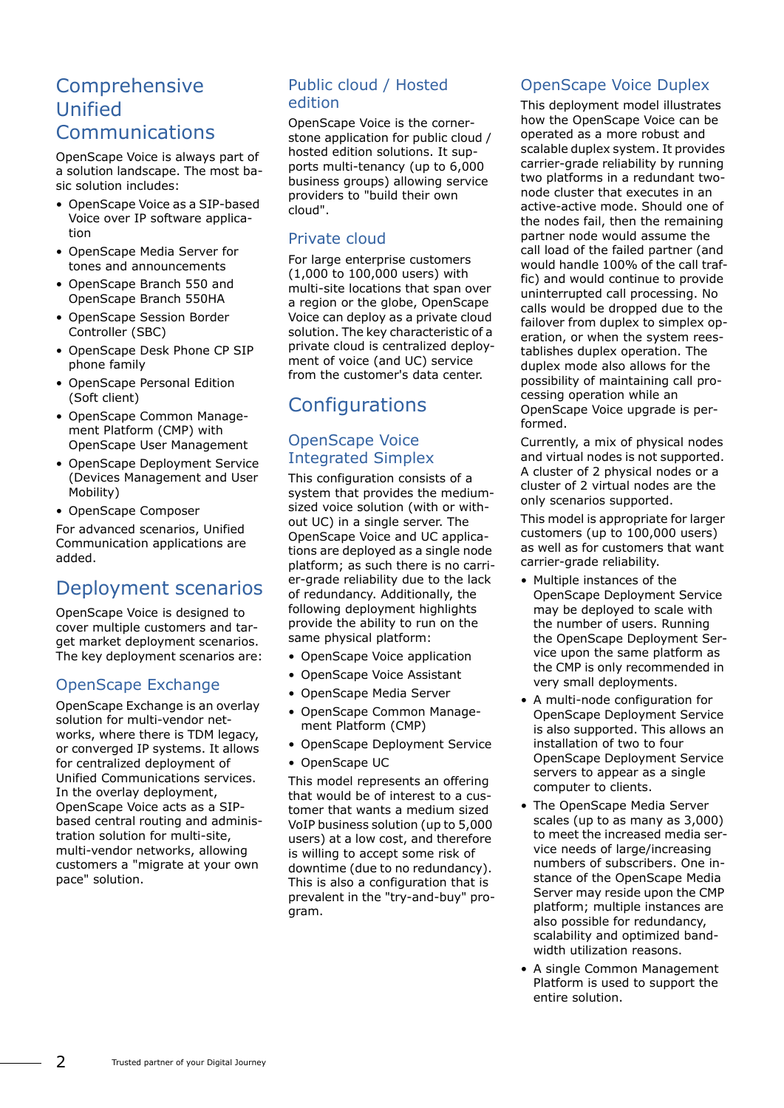## Comprehensive Unified

#### Communications

OpenScape Voice is always part of a solution landscape. The most basic solution includes:

- OpenScape Voice as a SIP-based Voice over IP software application
- OpenScape Media Server for tones and announcements
- OpenScape Branch 550 and OpenScape Branch 550HA
- OpenScape Session Border Controller (SBC)
- OpenScape Desk Phone CP SIP phone family
- OpenScape Personal Edition (Soft client)
- OpenScape Common Management Platform (CMP) with OpenScape User Management
- OpenScape Deployment Service (Devices Management and User Mobility)
- OpenScape Composer

For advanced scenarios, Unified Communication applications are added.

## Deployment scenarios

OpenScape Voice is designed to cover multiple customers and target market deployment scenarios. The key deployment scenarios are:

#### OpenScape Exchange

OpenScape Exchange is an overlay solution for multi-vendor networks, where there is TDM legacy, or converged IP systems. It allows for centralized deployment of Unified Communications services. In the overlay deployment, OpenScape Voice acts as a SIPbased central routing and administration solution for multi-site, multi-vendor networks, allowing customers a "migrate at your own pace" solution.

#### Public cloud / Hosted edition

OpenScape Voice is the cornerstone application for public cloud / hosted edition solutions. It supports multi-tenancy (up to 6,000 business groups) allowing service providers to "build their own cloud".

#### Private cloud

For large enterprise customers (1,000 to 100,000 users) with multi-site locations that span over a region or the globe, OpenScape Voice can deploy as a private cloud solution. The key characteristic of a private cloud is centralized deployment of voice (and UC) service from the customer's data center.

## **Configurations**

#### OpenScape Voice Integrated Simplex

This configuration consists of a system that provides the mediumsized voice solution (with or without UC) in a single server. The OpenScape Voice and UC applications are deployed as a single node platform; as such there is no carrier-grade reliability due to the lack of redundancy. Additionally, the following deployment highlights provide the ability to run on the same physical platform:

- OpenScape Voice application
- OpenScape Voice Assistant
- OpenScape Media Server
- OpenScape Common Management Platform (CMP)
- OpenScape Deployment Service
- OpenScape UC

This model represents an offering that would be of interest to a customer that wants a medium sized VoIP business solution (up to 5,000 users) at a low cost, and therefore is willing to accept some risk of downtime (due to no redundancy). This is also a configuration that is prevalent in the "try-and-buy" program.

## OpenScape Voice Duplex

This deployment model illustrates how the OpenScape Voice can be operated as a more robust and scalable duplex system. It provides carrier-grade reliability by running two platforms in a redundant twonode cluster that executes in an active-active mode. Should one of the nodes fail, then the remaining partner node would assume the call load of the failed partner (and would handle 100% of the call traffic) and would continue to provide uninterrupted call processing. No calls would be dropped due to the failover from duplex to simplex operation, or when the system reestablishes duplex operation. The duplex mode also allows for the possibility of maintaining call processing operation while an OpenScape Voice upgrade is performed.

Currently, a mix of physical nodes and virtual nodes is not supported. A cluster of 2 physical nodes or a cluster of 2 virtual nodes are the only scenarios supported.

This model is appropriate for larger customers (up to 100,000 users) as well as for customers that want carrier-grade reliability.

- Multiple instances of the OpenScape Deployment Service may be deployed to scale with the number of users. Running the OpenScape Deployment Service upon the same platform as the CMP is only recommended in very small deployments.
- A multi-node configuration for OpenScape Deployment Service is also supported. This allows an installation of two to four OpenScape Deployment Service servers to appear as a single computer to clients.
- The OpenScape Media Server scales (up to as many as 3,000) to meet the increased media service needs of large/increasing numbers of subscribers. One instance of the OpenScape Media Server may reside upon the CMP platform; multiple instances are also possible for redundancy, scalability and optimized bandwidth utilization reasons.
- A single Common Management Platform is used to support the entire solution.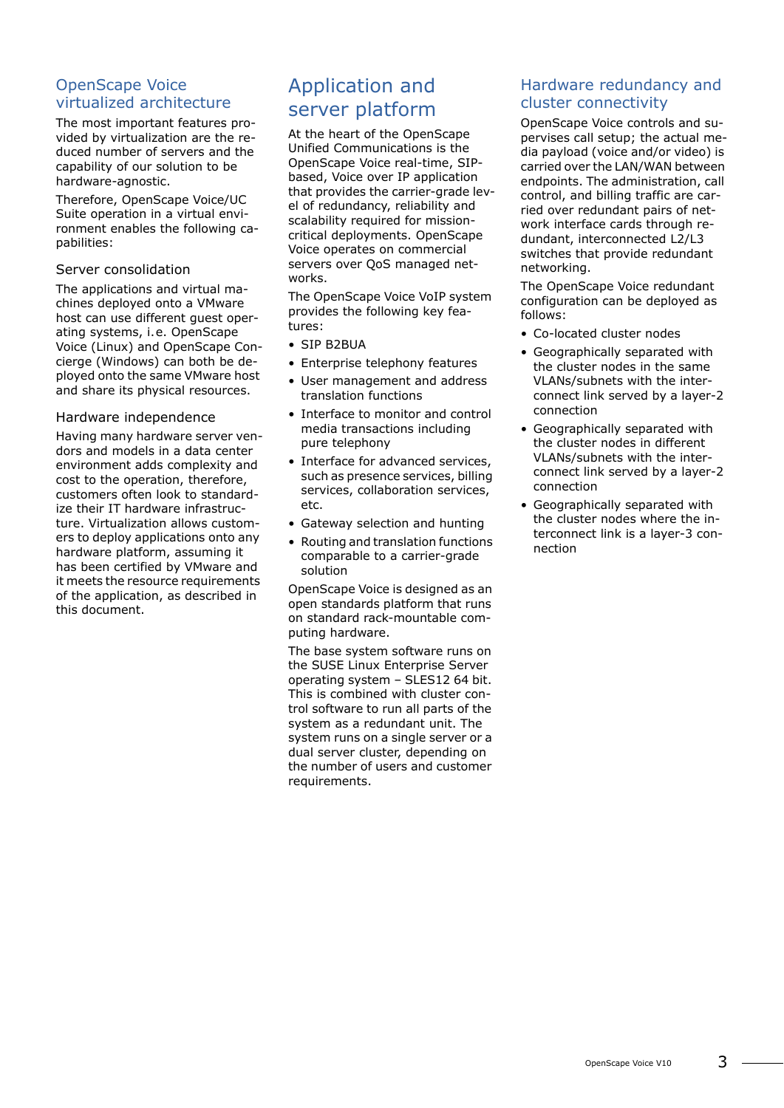#### OpenScape Voice virtualized architecture

The most important features provided by virtualization are the reduced number of servers and the capability of our solution to be hardware-agnostic.

Therefore, OpenScape Voice/UC Suite operation in a virtual environment enables the following capabilities:

#### Server consolidation

The applications and virtual machines deployed onto a VMware host can use different guest operating systems, i.e. OpenScape Voice (Linux) and OpenScape Concierge (Windows) can both be deployed onto the same VMware host and share its physical resources.

#### Hardware independence

Having many hardware server vendors and models in a data center environment adds complexity and cost to the operation, therefore, customers often look to standardize their IT hardware infrastructure. Virtualization allows customers to deploy applications onto any hardware platform, assuming it has been certified by VMware and it meets the resource requirements of the application, as described in this document.

## Application and server platform

At the heart of the OpenScape Unified Communications is the OpenScape Voice real-time, SIPbased, Voice over IP application that provides the carrier-grade level of redundancy, reliability and scalability required for missioncritical deployments. OpenScape Voice operates on commercial servers over QoS managed networks.

The OpenScape Voice VoIP system provides the following key features:

- SIP B2BUA
- Enterprise telephony features
- User management and address translation functions
- Interface to monitor and control media transactions including pure telephony
- Interface for advanced services, such as presence services, billing services, collaboration services, etc.
- Gateway selection and hunting
- Routing and translation functions comparable to a carrier-grade solution

OpenScape Voice is designed as an open standards platform that runs on standard rack-mountable computing hardware.

The base system software runs on the SUSE Linux Enterprise Server operating system – SLES12 64 bit. This is combined with cluster control software to run all parts of the system as a redundant unit. The system runs on a single server or a dual server cluster, depending on the number of users and customer requirements.

#### Hardware redundancy and cluster connectivity

OpenScape Voice controls and supervises call setup; the actual media payload (voice and/or video) is carried over the LAN/WAN between endpoints. The administration, call control, and billing traffic are carried over redundant pairs of network interface cards through redundant, interconnected L2/L3 switches that provide redundant networking.

The OpenScape Voice redundant configuration can be deployed as follows:

- Co-located cluster nodes
- Geographically separated with the cluster nodes in the same VLANs/subnets with the interconnect link served by a layer-2 connection
- Geographically separated with the cluster nodes in different VLANs/subnets with the interconnect link served by a layer-2 connection
- Geographically separated with the cluster nodes where the interconnect link is a layer-3 connection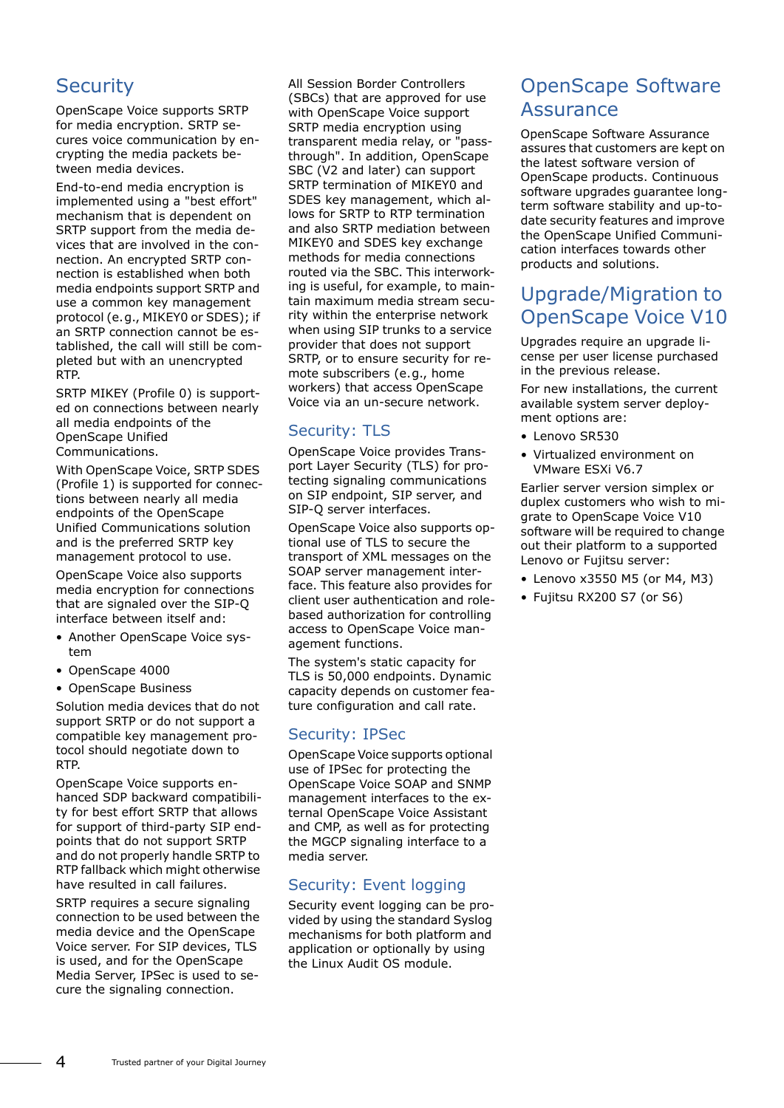## **Security**

OpenScape Voice supports SRTP for media encryption. SRTP secures voice communication by encrypting the media packets between media devices.

End-to-end media encryption is implemented using a "best effort" mechanism that is dependent on SRTP support from the media devices that are involved in the connection. An encrypted SRTP connection is established when both media endpoints support SRTP and use a common key management protocol (e.g., MIKEY0 or SDES); if an SRTP connection cannot be established, the call will still be completed but with an unencrypted RTP.

SRTP MIKEY (Profile 0) is supported on connections between nearly all media endpoints of the OpenScape Unified Communications.

With OpenScape Voice, SRTP SDES (Profile 1) is supported for connections between nearly all media endpoints of the OpenScape Unified Communications solution and is the preferred SRTP key management protocol to use.

OpenScape Voice also supports media encryption for connections that are signaled over the SIP-Q interface between itself and:

- Another OpenScape Voice system
- OpenScape 4000
- OpenScape Business

Solution media devices that do not support SRTP or do not support a compatible key management protocol should negotiate down to RTP.

OpenScape Voice supports enhanced SDP backward compatibility for best effort SRTP that allows for support of third-party SIP endpoints that do not support SRTP and do not properly handle SRTP to RTP fallback which might otherwise have resulted in call failures.

SRTP requires a secure signaling connection to be used between the media device and the OpenScape Voice server. For SIP devices, TLS is used, and for the OpenScape Media Server, IPSec is used to secure the signaling connection.

All Session Border Controllers (SBCs) that are approved for use with OpenScape Voice support SRTP media encryption using transparent media relay, or "passthrough". In addition, OpenScape SBC (V2 and later) can support SRTP termination of MIKEY0 and SDES key management, which allows for SRTP to RTP termination and also SRTP mediation between MIKEY0 and SDES key exchange methods for media connections routed via the SBC. This interworking is useful, for example, to maintain maximum media stream security within the enterprise network when using SIP trunks to a service provider that does not support SRTP, or to ensure security for remote subscribers (e.g., home workers) that access OpenScape Voice via an un-secure network.

#### Security: TLS

OpenScape Voice provides Transport Layer Security (TLS) for protecting signaling communications on SIP endpoint, SIP server, and SIP-Q server interfaces.

OpenScape Voice also supports optional use of TLS to secure the transport of XML messages on the SOAP server management interface. This feature also provides for client user authentication and rolebased authorization for controlling access to OpenScape Voice management functions.

The system's static capacity for TLS is 50,000 endpoints. Dynamic capacity depends on customer feature configuration and call rate.

#### Security: IPSec

OpenScape Voice supports optional use of IPSec for protecting the OpenScape Voice SOAP and SNMP management interfaces to the external OpenScape Voice Assistant and CMP, as well as for protecting the MGCP signaling interface to a media server.

#### Security: Event logging

Security event logging can be provided by using the standard Syslog mechanisms for both platform and application or optionally by using the Linux Audit OS module.

## OpenScape Software **Assurance**

OpenScape Software Assurance assures that customers are kept on the latest software version of OpenScape products. Continuous software upgrades guarantee longterm software stability and up-todate security features and improve the OpenScape Unified Communication interfaces towards other products and solutions.

## Upgrade/Migration to OpenScape Voice V10

Upgrades require an upgrade license per user license purchased in the previous release.

For new installations, the current available system server deployment options are:

- Lenovo SR530
- Virtualized environment on VMware ESXi V6.7

Earlier server version simplex or duplex customers who wish to migrate to OpenScape Voice V10 software will be required to change out their platform to a supported Lenovo or Fujitsu server:

- Lenovo x3550 M5 (or M4, M3)
- Fujitsu RX200 S7 (or S6)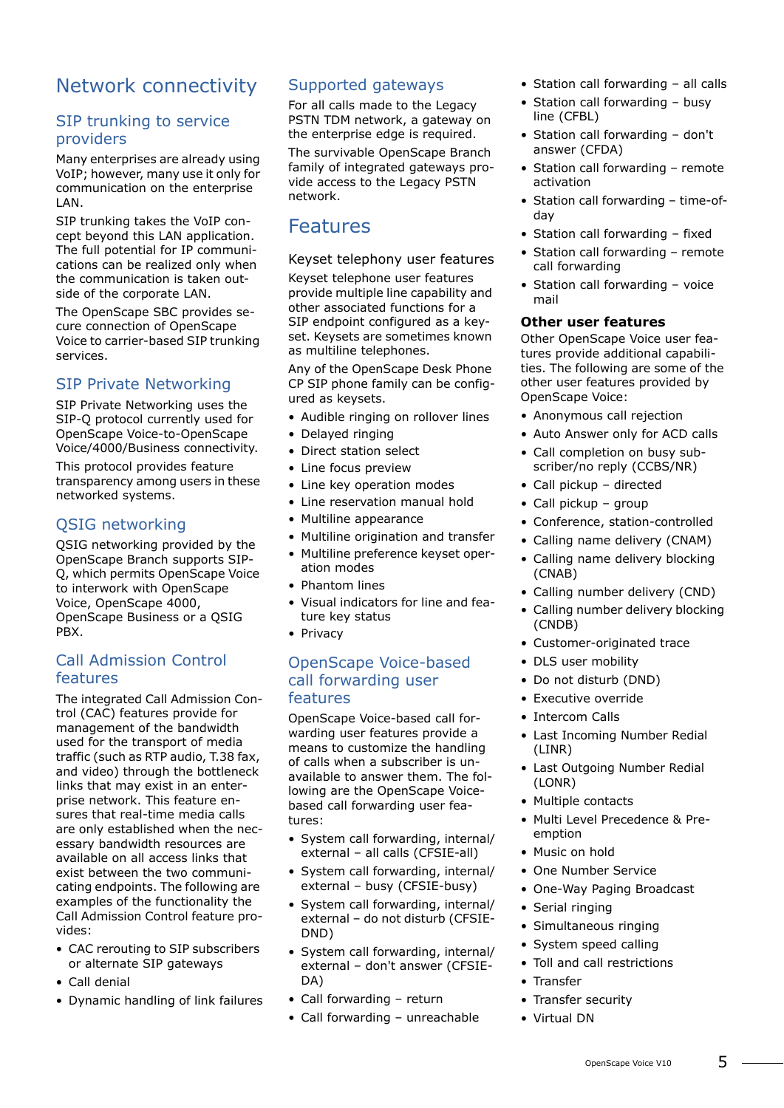## Network connectivity

#### SIP trunking to service providers

Many enterprises are already using VoIP; however, many use it only for communication on the enterprise LAN.

SIP trunking takes the VoIP concept beyond this LAN application. The full potential for IP communications can be realized only when the communication is taken outside of the corporate LAN.

The OpenScape SBC provides secure connection of OpenScape Voice to carrier-based SIP trunking services.

#### SIP Private Networking

SIP Private Networking uses the SIP-Q protocol currently used for OpenScape Voice-to-OpenScape Voice/4000/Business connectivity.

This protocol provides feature transparency among users in these networked systems.

#### QSIG networking

QSIG networking provided by the OpenScape Branch supports SIP-Q, which permits OpenScape Voice to interwork with OpenScape Voice, OpenScape 4000, OpenScape Business or a QSIG PBX.

#### Call Admission Control features

The integrated Call Admission Control (CAC) features provide for management of the bandwidth used for the transport of media traffic (such as RTP audio, T.38 fax, and video) through the bottleneck links that may exist in an enterprise network. This feature ensures that real-time media calls are only established when the necessary bandwidth resources are available on all access links that exist between the two communicating endpoints. The following are examples of the functionality the Call Admission Control feature provides:

- CAC rerouting to SIP subscribers or alternate SIP gateways
- Call denial
- Dynamic handling of link failures

#### Supported gateways

For all calls made to the Legacy PSTN TDM network, a gateway on the enterprise edge is required.

The survivable OpenScape Branch family of integrated gateways provide access to the Legacy PSTN network.

## Features

Keyset telephony user features

Keyset telephone user features provide multiple line capability and other associated functions for a SIP endpoint configured as a keyset. Keysets are sometimes known as multiline telephones.

Any of the OpenScape Desk Phone CP SIP phone family can be configured as keysets.

- Audible ringing on rollover lines
- Delayed ringing
- Direct station select
- Line focus preview
- Line key operation modes
- Line reservation manual hold
- Multiline appearance
- Multiline origination and transfer
- Multiline preference keyset operation modes
- Phantom lines
- Visual indicators for line and feature key status
- Privacy

#### OpenScape Voice-based call forwarding user features

OpenScape Voice-based call forwarding user features provide a means to customize the handling of calls when a subscriber is unavailable to answer them. The following are the OpenScape Voicebased call forwarding user features:

- System call forwarding, internal/ external – all calls (CFSIE-all)
- System call forwarding, internal/ external – busy (CFSIE-busy)
- System call forwarding, internal/ external – do not disturb (CFSIE-DND)
- System call forwarding, internal/ external – don't answer (CFSIE-DA)
- Call forwarding return
- Call forwarding unreachable
- Station call forwarding all calls
- Station call forwarding busy line (CFBL)
- Station call forwarding don't answer (CFDA)
- Station call forwarding remote activation
- Station call forwarding time-ofday
- Station call forwarding fixed
- Station call forwarding remote call forwarding
- Station call forwarding voice mail

#### **Other user features**

Other OpenScape Voice user features provide additional capabilities. The following are some of the other user features provided by OpenScape Voice:

- Anonymous call rejection
- Auto Answer only for ACD calls
- Call completion on busy subscriber/no reply (CCBS/NR)
- Call pickup directed
- Call pickup group
- Conference, station-controlled
- Calling name delivery (CNAM)
- Calling name delivery blocking (CNAB)
- Calling number delivery (CND)
- Calling number delivery blocking (CNDB)
- Customer-originated trace
- DLS user mobility
- Do not disturb (DND)
- Executive override
- Intercom Calls
- Last Incoming Number Redial (LINR)
- Last Outgoing Number Redial (LONR)
- Multiple contacts
- Multi Level Precedence & Preemption
- Music on hold
- One Number Service
- One-Way Paging Broadcast
- Serial ringing
- Simultaneous ringing
- System speed calling
- Toll and call restrictions
- Transfer
- Transfer security
- Virtual DN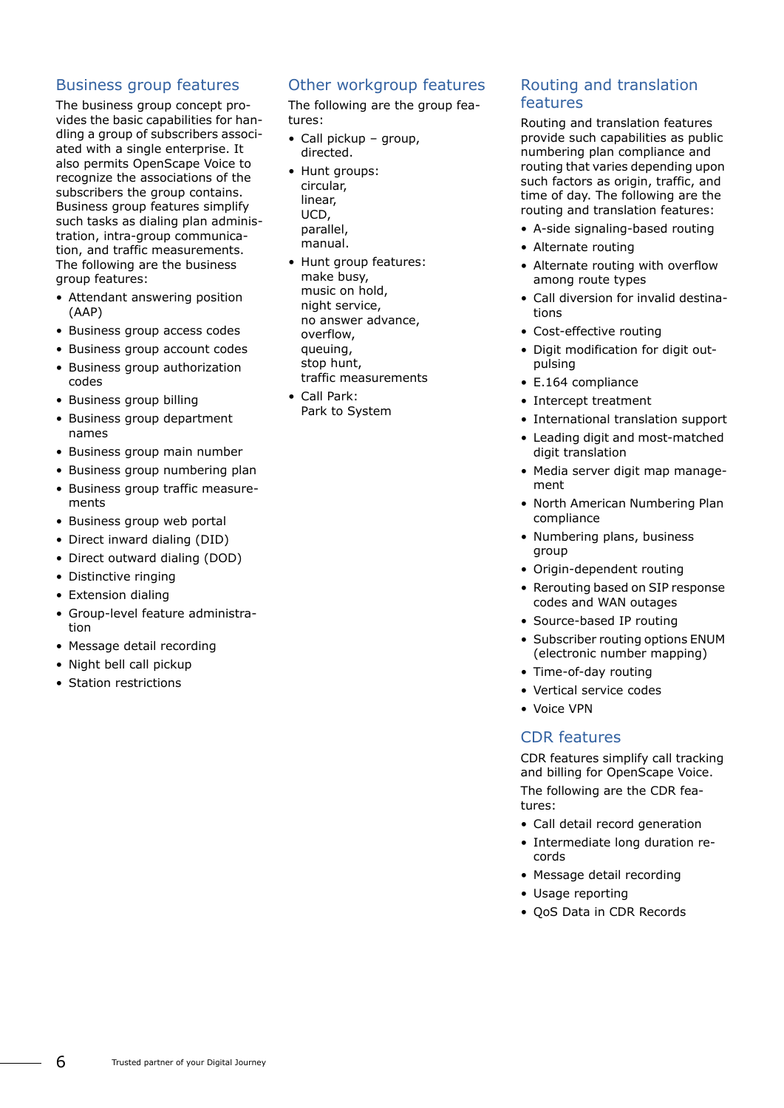#### Business group features

The business group concept provides the basic capabilities for handling a group of subscribers associated with a single enterprise. It also permits OpenScape Voice to recognize the associations of the subscribers the group contains. Business group features simplify such tasks as dialing plan administration, intra-group communication, and traffic measurements. The following are the business group features:

- Attendant answering position (AAP)
- Business group access codes
- Business group account codes
- Business group authorization codes
- Business group billing
- Business group department names
- Business group main number
- Business group numbering plan
- Business group traffic measurements
- Business group web portal
- Direct inward dialing (DID)
- Direct outward dialing (DOD)
- Distinctive ringing
- Extension dialing
- Group-level feature administration
- Message detail recording
- Night bell call pickup
- Station restrictions

#### Other workgroup features

The following are the group features:

- Call pickup group, directed.
- Hunt groups: circular, linear, UCD, parallel, manual.
- Hunt group features: make busy, music on hold, night service, no answer advance, overflow, queuing, stop hunt, traffic measurements
- Call Park: Park to System

#### Routing and translation features

Routing and translation features provide such capabilities as public numbering plan compliance and routing that varies depending upon such factors as origin, traffic, and time of day. The following are the routing and translation features:

- A-side signaling-based routing
- Alternate routing
- Alternate routing with overflow among route types
- Call diversion for invalid destinations
- Cost-effective routing
- Digit modification for digit outpulsing
- E.164 compliance
- Intercept treatment
- International translation support
- Leading digit and most-matched digit translation
- Media server digit map management
- North American Numbering Plan compliance
- Numbering plans, business group
- Origin-dependent routing
- Rerouting based on SIP response codes and WAN outages
- Source-based IP routing
- Subscriber routing options ENUM (electronic number mapping)
- Time-of-day routing
- Vertical service codes
- Voice VPN

#### CDR features

CDR features simplify call tracking and billing for OpenScape Voice. The following are the CDR features:

- Call detail record generation
- Intermediate long duration records
- Message detail recording
- Usage reporting
- QoS Data in CDR Records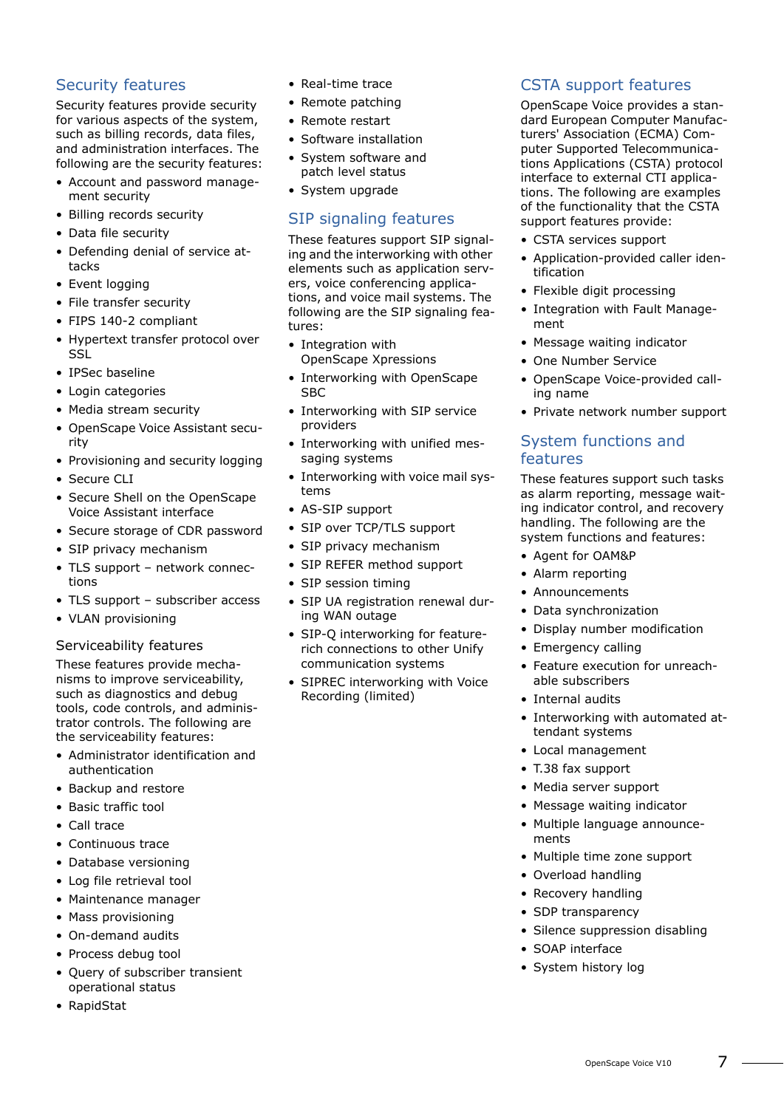#### Security features

Security features provide security for various aspects of the system, such as billing records, data files, and administration interfaces. The following are the security features:

- Account and password management security
- Billing records security
- Data file security
- Defending denial of service attacks
- Event logging
- File transfer security
- FIPS 140-2 compliant
- Hypertext transfer protocol over SSL
- IPSec baseline
- Login categories
- Media stream security
- OpenScape Voice Assistant security
- Provisioning and security logging
- Secure CLI
- Secure Shell on the OpenScape Voice Assistant interface
- Secure storage of CDR password
- SIP privacy mechanism
- TLS support network connections
- TLS support subscriber access
- VLAN provisioning

#### Serviceability features

These features provide mechanisms to improve serviceability, such as diagnostics and debug tools, code controls, and administrator controls. The following are the serviceability features:

- Administrator identification and authentication
- Backup and restore
- Basic traffic tool
- Call trace
- Continuous trace
- Database versioning
- Log file retrieval tool
- Maintenance manager
- Mass provisioning
- On-demand audits
- Process debug tool
- Query of subscriber transient operational status
- RapidStat
- Real-time trace
- Remote patching
- Remote restart
- Software installation
- System software and patch level status
- System upgrade

#### SIP signaling features

These features support SIP signaling and the interworking with other elements such as application servers, voice conferencing applications, and voice mail systems. The following are the SIP signaling features:

- Integration with OpenScape Xpressions
- Interworking with OpenScape **SBC**
- Interworking with SIP service providers
- Interworking with unified messaging systems
- Interworking with voice mail systems
- AS-SIP support
- SIP over TCP/TLS support
- SIP privacy mechanism
- SIP REFER method support
- SIP session timing
- SIP UA registration renewal during WAN outage
- SIP-Q interworking for featurerich connections to other Unify communication systems
- SIPREC interworking with Voice Recording (limited)

#### CSTA support features

OpenScape Voice provides a standard European Computer Manufacturers' Association (ECMA) Computer Supported Telecommunications Applications (CSTA) protocol interface to external CTI applications. The following are examples of the functionality that the CSTA support features provide:

- CSTA services support
- Application-provided caller identification
- Flexible digit processing
- Integration with Fault Management
- Message waiting indicator
- One Number Service
- OpenScape Voice-provided calling name
- Private network number support

#### System functions and features

These features support such tasks as alarm reporting, message waiting indicator control, and recovery handling. The following are the system functions and features:

- Agent for OAM&P
- Alarm reporting
- Announcements
- Data synchronization
- Display number modification
- Emergency calling
- Feature execution for unreachable subscribers
- Internal audits
- Interworking with automated attendant systems
- Local management
- T.38 fax support
- Media server support
- Message waiting indicator
- Multiple language announcements
- Multiple time zone support
- Overload handling
- Recovery handling
- SDP transparency
- Silence suppression disabling
- SOAP interface
- System history log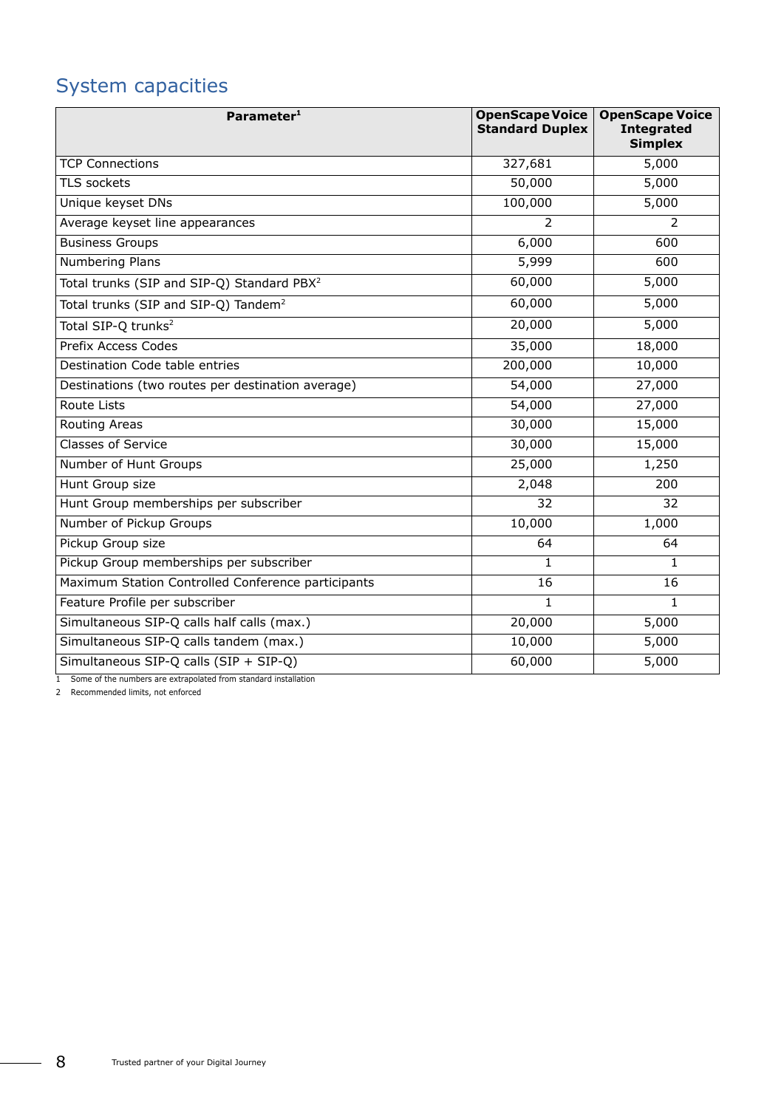## System capacities

| Parameter <sup>1</sup>                                 | <b>OpenScape Voice</b><br><b>Standard Duplex</b> | <b>OpenScape Voice</b><br><b>Integrated</b><br><b>Simplex</b> |
|--------------------------------------------------------|--------------------------------------------------|---------------------------------------------------------------|
| <b>TCP Connections</b>                                 | 327,681                                          | 5,000                                                         |
| TLS sockets                                            | 50,000                                           | 5,000                                                         |
| Unique keyset DNs                                      | 100,000                                          | 5,000                                                         |
| Average keyset line appearances                        | 2                                                | 2                                                             |
| <b>Business Groups</b>                                 | 6,000                                            | 600                                                           |
| Numbering Plans                                        | 5,999                                            | 600                                                           |
| Total trunks (SIP and SIP-Q) Standard PBX <sup>2</sup> | 60,000                                           | 5,000                                                         |
| Total trunks (SIP and SIP-Q) Tandem <sup>2</sup>       | 60,000                                           | 5,000                                                         |
| Total SIP-Q trunks <sup>2</sup>                        | 20,000                                           | 5,000                                                         |
| <b>Prefix Access Codes</b>                             | 35,000                                           | 18,000                                                        |
| Destination Code table entries                         | 200,000                                          | 10,000                                                        |
| Destinations (two routes per destination average)      | 54,000                                           | 27,000                                                        |
| Route Lists                                            | 54,000                                           | 27,000                                                        |
| Routing Areas                                          | 30,000                                           | 15,000                                                        |
| <b>Classes of Service</b>                              | 30,000                                           | 15,000                                                        |
| Number of Hunt Groups                                  | 25,000                                           | 1,250                                                         |
| Hunt Group size                                        | 2,048                                            | 200                                                           |
| Hunt Group memberships per subscriber                  | 32                                               | 32                                                            |
| Number of Pickup Groups                                | 10,000                                           | 1,000                                                         |
| Pickup Group size                                      | 64                                               | 64                                                            |
| Pickup Group memberships per subscriber                | 1                                                | $\mathbf{1}$                                                  |
| Maximum Station Controlled Conference participants     | 16                                               | 16                                                            |
| Feature Profile per subscriber                         | 1                                                | $\mathbf{1}$                                                  |
| Simultaneous SIP-Q calls half calls (max.)             | 20,000                                           | 5,000                                                         |
| Simultaneous SIP-Q calls tandem (max.)                 | 10,000                                           | 5,000                                                         |
| Simultaneous SIP-Q calls (SIP + SIP-Q)                 | 60,000                                           | 5,000                                                         |

1 Some of the numbers are extrapolated from standard installation

<span id="page-7-0"></span>2 Recommended limits, not enforced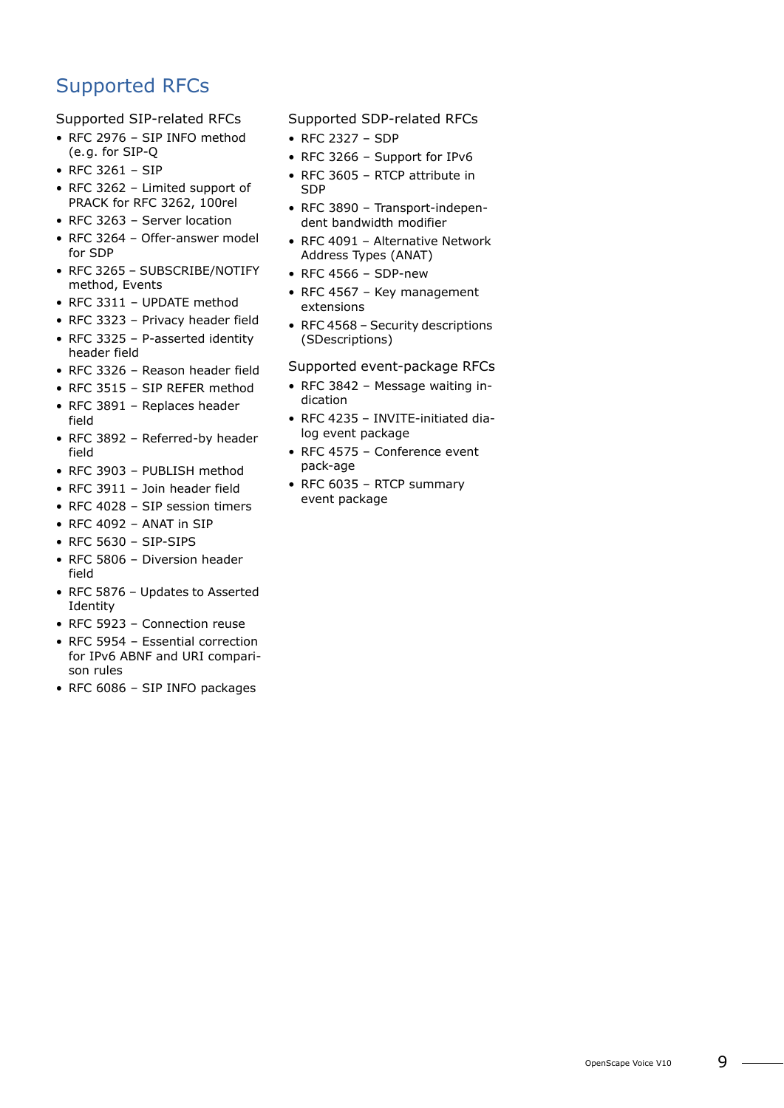## Supported RFCs

Supported SIP-related RFCs

- RFC 2976 SIP INFO method (e.g. for SIP-Q
- RFC 3261 SIP
- RFC 3262 Limited support of PRACK for RFC 3262, 100rel
- RFC 3263 Server location
- RFC 3264 Offer-answer model for SDP
- RFC 3265 SUBSCRIBE/NOTIFY method, Events
- RFC 3311 UPDATE method
- RFC 3323 Privacy header field
- RFC 3325 P-asserted identity header field
- RFC 3326 Reason header field
- RFC 3515 SIP REFER method • RFC 3891 – Replaces header
- field • RFC 3892 – Referred-by header
- field
- RFC 3903 PUBLISH method
- RFC 3911 Join header field
- RFC 4028 SIP session timers
- RFC 4092 ANAT in SIP
- RFC 5630 SIP-SIPS
- RFC 5806 Diversion header field
- RFC 5876 Updates to Asserted Identity
- RFC 5923 Connection reuse
- RFC 5954 Essential correction for IPv6 ABNF and URI comparison rules
- RFC 6086 SIP INFO packages

Supported SDP-related RFCs

- RFC 2327 SDP
- RFC 3266 Support for IPv6
- RFC 3605 RTCP attribute in SDP
- RFC 3890 Transport-independent bandwidth modifier
- RFC 4091 Alternative Network Address Types (ANAT)
- RFC 4566 SDP-new
- RFC 4567 Key management extensions
- RFC 4568 Security descriptions (SDescriptions)

#### Supported event-package RFCs

- RFC 3842 Message waiting indication
- RFC 4235 INVITE-initiated dialog event package
- RFC 4575 Conference event pack-age
- RFC 6035 RTCP summary event package